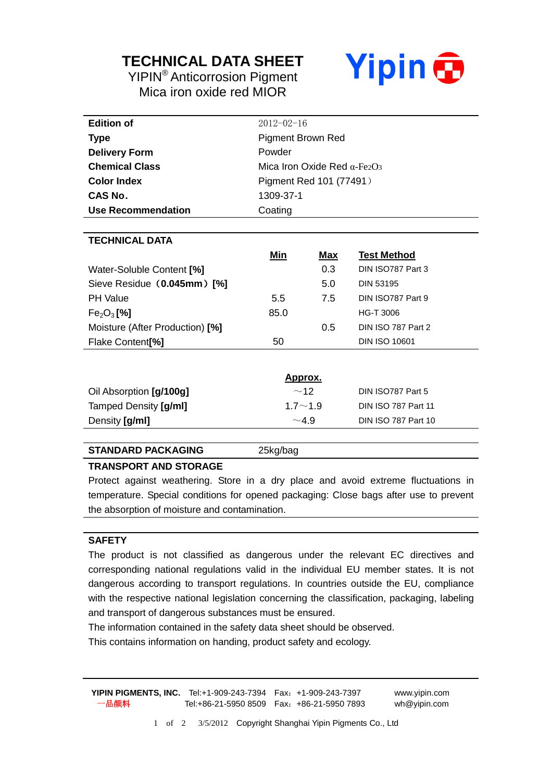## **TECHNICAL DATA SHEET**

YIPIN® Anticorrosion Pigment Mica iron oxide red MIOR



| <b>Edition of</b>               | $2012 - 02 - 16$                    |            |                            |  |
|---------------------------------|-------------------------------------|------------|----------------------------|--|
| Type                            | <b>Pigment Brown Red</b>            |            |                            |  |
| <b>Delivery Form</b>            | Powder                              |            |                            |  |
| <b>Chemical Class</b>           | Mica Iron Oxide Red $\alpha$ -Fe2O3 |            |                            |  |
| <b>Color Index</b>              | Pigment Red 101 (77491)             |            |                            |  |
| <b>CAS No.</b>                  | 1309-37-1                           |            |                            |  |
| <b>Use Recommendation</b>       | Coating                             |            |                            |  |
|                                 |                                     |            |                            |  |
| <b>TECHNICAL DATA</b>           |                                     |            |                            |  |
|                                 | Min                                 | <u>Max</u> | <b>Test Method</b>         |  |
| Water-Soluble Content [%]       |                                     | 0.3        | DIN ISO787 Part 3          |  |
| Sieve Residue (0.045mm) [%]     |                                     | 5.0        | <b>DIN 53195</b>           |  |
| <b>PH Value</b>                 | 5.5                                 | 7.5        | DIN ISO787 Part 9          |  |
| $Fe2O3$ [%]                     | 85.0                                |            | <b>HG-T 3006</b>           |  |
| Moisture (After Production) [%] |                                     | 0.5        | DIN ISO 787 Part 2         |  |
| Flake Content <sup>[%]</sup>    | 50                                  |            | <b>DIN ISO 10601</b>       |  |
|                                 |                                     |            |                            |  |
|                                 | Approx.                             |            |                            |  |
| Oil Absorption [g/100g]         | ~12                                 |            | DIN ISO787 Part 5          |  |
| Tamped Density [g/ml]           | $1.7 - 1.9$                         |            | <b>DIN ISO 787 Part 11</b> |  |

#### **STANDARD PACKAGING** 25kg/bag

#### **TRANSPORT AND STORAGE**

Protect against weathering. Store in a dry place and avoid extreme fluctuations in temperature. Special conditions for opened packaging: Close bags after use to prevent the absorption of moisture and contamination.

Density  $\left[\frac{g}{m}\right]$  **Din ISO 787 Part 10** 

#### **SAFETY**

The product is not classified as dangerous under the relevant EC directives and corresponding national regulations valid in the individual EU member states. It is not dangerous according to transport regulations. In countries outside the EU, compliance with the respective national legislation concerning the classification, packaging, labeling and transport of dangerous substances must be ensured.

The information contained in the safety data sheet should be observed.

This contains information on handing, product safety and ecology.

**YIPIN PIGMENTS, INC.** Tel:+1-909-243-7394 Fax:+1-909-243-7397 www.yipin.com 一品颜料 Tel:+86-21-5950 8509 Fax:+86-21-5950 7893 wh@yipin.com

1 of 2 3/5/2012 Copyright Shanghai Yipin Pigments Co., Ltd